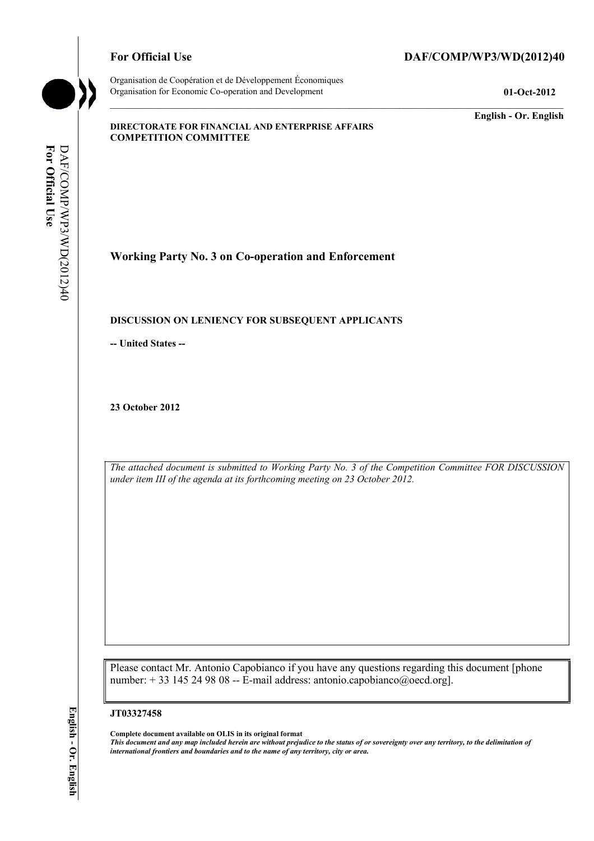Organisation de Coopération et de Développement Économiques Organisation for Economic Co-operation and Development **01-Oct-2012** 

# For Official Use DAF/COMP/WP3/WD(2012)40

**English - Or. English** 

#### **DIRECTORATE FOR FINANCIAL AND ENTERPRISE AFFAIRS COMPETITION COMMITTEE**

For Official Use **For Official Use**  DAF/COMP/WP3/WD(2012)40 DAF/COMP/WP3/WD(2012)40

**Working Party No. 3 on Co-operation and Enforcement** 

## **DISCUSSION ON LENIENCY FOR SUBSEQUENT APPLICANTS**

**-- United States --**

**23 October 2012** 

*The attached document is submitted to Working Party No. 3 of the Competition Committee FOR DISCUSSION under item III of the agenda at its forthcoming meeting on 23 October 2012.* 

Please contact Mr. Antonio Capobianco if you have any questions regarding this document [phone number:  $+ 33$  145 24 98 08 -- E-mail address: antonio.capobianco@oecd.org].

#### **JT03327458**

 **Complete document available on OLIS in its original format** 

 *This document and any map included herein are without prejudice to the status of or sovereignty over any territory, to the delimitation of international frontiers and boundaries and to the name of any territory, city or area.*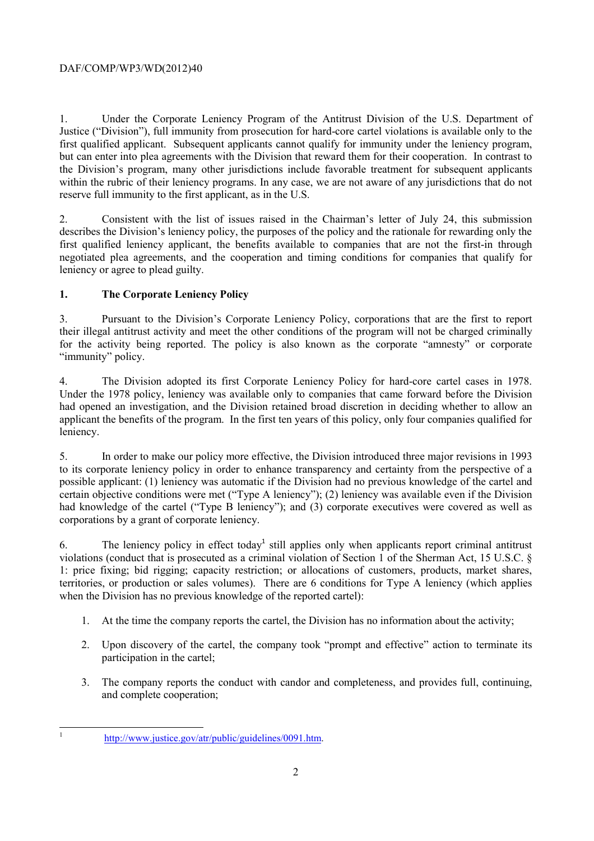1. Under the Corporate Leniency Program of the Antitrust Division of the U.S. Department of Justice ("Division"), full immunity from prosecution for hard-core cartel violations is available only to the first qualified applicant. Subsequent applicants cannot qualify for immunity under the leniency program, but can enter into plea agreements with the Division that reward them for their cooperation. In contrast to the Division's program, many other jurisdictions include favorable treatment for subsequent applicants within the rubric of their leniency programs. In any case, we are not aware of any jurisdictions that do not reserve full immunity to the first applicant, as in the U.S.

2. Consistent with the list of issues raised in the Chairman's letter of July 24, this submission describes the Division's leniency policy, the purposes of the policy and the rationale for rewarding only the first qualified leniency applicant, the benefits available to companies that are not the first-in through negotiated plea agreements, and the cooperation and timing conditions for companies that qualify for leniency or agree to plead guilty.

# **1. The Corporate Leniency Policy**

3. Pursuant to the Division's Corporate Leniency Policy, corporations that are the first to report their illegal antitrust activity and meet the other conditions of the program will not be charged criminally for the activity being reported. The policy is also known as the corporate "amnesty" or corporate "immunity" policy.

 applicant the benefits of the program. In the first ten years of this policy, only four companies qualified for 4. The Division adopted its first Corporate Leniency Policy for hard-core cartel cases in 1978. Under the 1978 policy, leniency was available only to companies that came forward before the Division had opened an investigation, and the Division retained broad discretion in deciding whether to allow an leniency.

5. In order to make our policy more effective, the Division introduced three major revisions in 1993 to its corporate leniency policy in order to enhance transparency and certainty from the perspective of a possible applicant: (1) leniency was automatic if the Division had no previous knowledge of the cartel and certain objective conditions were met ("Type A leniency"); (2) leniency was available even if the Division had knowledge of the cartel ("Type B leniency"); and (3) corporate executives were covered as well as corporations by a grant of corporate leniency.

6. The leniency policy in effect today<sup>1</sup> still applies only when applicants report criminal antitrust violations (conduct that is prosecuted as a criminal violation of Section 1 of the Sherman Act, 15 U.S.C. § 1: price fixing; bid rigging; capacity restriction; or allocations of customers, products, market shares, territories, or production or sales volumes). There are 6 conditions for Type A leniency (which applies when the Division has no previous knowledge of the reported cartel):

- 1. At the time the company reports the cartel, the Division has no information about the activity;
- 2. Upon discovery of the cartel, the company took "prompt and effective" action to terminate its participation in the cartel;
- 3. The company reports the conduct with candor and completeness, and provides full, continuing, and complete cooperation;

 1

http://www.justice.gov/atr/public/guidelines/0091.htm.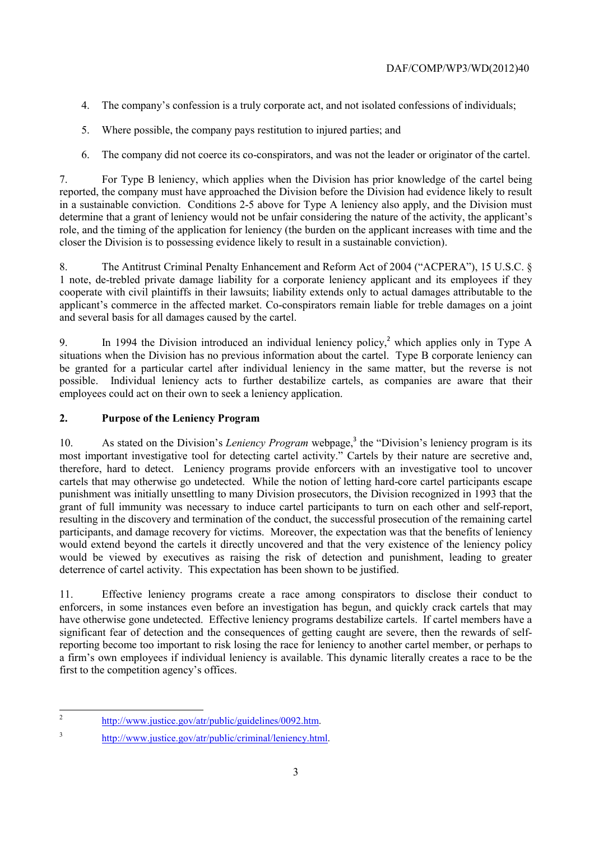- 4. The company's confession is a truly corporate act, and not isolated confessions of individuals;
- 5. Where possible, the company pays restitution to injured parties; and
- 6. The company did not coerce its co-conspirators, and was not the leader or originator of the cartel.

7. For Type B leniency, which applies when the Division has prior knowledge of the cartel being reported, the company must have approached the Division before the Division had evidence likely to result in a sustainable conviction. Conditions 2-5 above for Type A leniency also apply, and the Division must determine that a grant of leniency would not be unfair considering the nature of the activity, the applicant's role, and the timing of the application for leniency (the burden on the applicant increases with time and the closer the Division is to possessing evidence likely to result in a sustainable conviction).

8. The Antitrust Criminal Penalty Enhancement and Reform Act of 2004 ("ACPERA"), 15 U.S.C. § 1 note, de-trebled private damage liability for a corporate leniency applicant and its employees if they cooperate with civil plaintiffs in their lawsuits; liability extends only to actual damages attributable to the applicant's commerce in the affected market. Co-conspirators remain liable for treble damages on a joint and several basis for all damages caused by the cartel.

9. In 1994 the Division introduced an individual leniency policy,<sup>2</sup> which applies only in Type A situations when the Division has no previous information about the cartel. Type B corporate leniency can be granted for a particular cartel after individual leniency in the same matter, but the reverse is not possible. Individual leniency acts to further destabilize cartels, as companies are aware that their employees could act on their own to seek a leniency application.

# **2. Purpose of the Leniency Program**

 would extend beyond the cartels it directly uncovered and that the very existence of the leniency policy 10. As stated on the Division's *Leniency Program* webpage,<sup>3</sup> the "Division's leniency program is its most important investigative tool for detecting cartel activity." Cartels by their nature are secretive and, therefore, hard to detect. Leniency programs provide enforcers with an investigative tool to uncover cartels that may otherwise go undetected. While the notion of letting hard-core cartel participants escape punishment was initially unsettling to many Division prosecutors, the Division recognized in 1993 that the grant of full immunity was necessary to induce cartel participants to turn on each other and self-report, resulting in the discovery and termination of the conduct, the successful prosecution of the remaining cartel participants, and damage recovery for victims. Moreover, the expectation was that the benefits of leniency would be viewed by executives as raising the risk of detection and punishment, leading to greater deterrence of cartel activity. This expectation has been shown to be justified.

 have otherwise gone undetected. Effective leniency programs destabilize cartels. If cartel members have a 11. Effective leniency programs create a race among conspirators to disclose their conduct to enforcers, in some instances even before an investigation has begun, and quickly crack cartels that may significant fear of detection and the consequences of getting caught are severe, then the rewards of selfreporting become too important to risk losing the race for leniency to another cartel member, or perhaps to a firm's own employees if individual leniency is available. This dynamic literally creates a race to be the first to the competition agency's offices.

- http://www.justice.gov/atr/public/guidelines/0092.htm.
- 3 http://www.justice.gov/atr/public/criminal/leniency.html.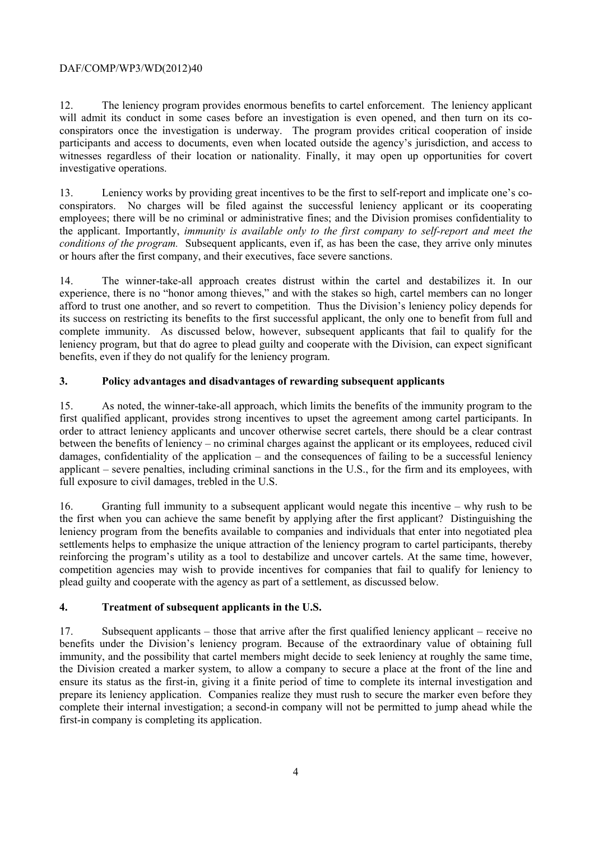conspirators once the investigation is underway. The program provides critical cooperation of inside participants and access to documents, even when located outside the agency's jurisdiction, and access to 12. The leniency program provides enormous benefits to cartel enforcement. The leniency applicant will admit its conduct in some cases before an investigation is even opened, and then turn on its cowitnesses regardless of their location or nationality. Finally, it may open up opportunities for covert investigative operations.

13. Leniency works by providing great incentives to be the first to self-report and implicate one's coconspirators. No charges will be filed against the successful leniency applicant or its cooperating employees; there will be no criminal or administrative fines; and the Division promises confidentiality to the applicant. Importantly, *immunity is available only to the first company to self-report and meet the conditions of the program.* Subsequent applicants, even if, as has been the case, they arrive only minutes or hours after the first company, and their executives, face severe sanctions.

14. The winner-take-all approach creates distrust within the cartel and destabilizes it. In our experience, there is no "honor among thieves," and with the stakes so high, cartel members can no longer afford to trust one another, and so revert to competition. Thus the Division's leniency policy depends for its success on restricting its benefits to the first successful applicant, the only one to benefit from full and complete immunity. As discussed below, however, subsequent applicants that fail to qualify for the leniency program, but that do agree to plead guilty and cooperate with the Division, can expect significant benefits, even if they do not qualify for the leniency program.

# **3. Policy advantages and disadvantages of rewarding subsequent applicants**

15. As noted, the winner-take-all approach, which limits the benefits of the immunity program to the first qualified applicant, provides strong incentives to upset the agreement among cartel participants. In order to attract leniency applicants and uncover otherwise secret cartels, there should be a clear contrast between the benefits of leniency – no criminal charges against the applicant or its employees, reduced civil damages, confidentiality of the application – and the consequences of failing to be a successful leniency applicant – severe penalties, including criminal sanctions in the U.S., for the firm and its employees, with full exposure to civil damages, trebled in the U.S.

 the first when you can achieve the same benefit by applying after the first applicant? Distinguishing the plead guilty and cooperate with the agency as part of a settlement, as discussed below. 16. Granting full immunity to a subsequent applicant would negate this incentive – why rush to be leniency program from the benefits available to companies and individuals that enter into negotiated plea settlements helps to emphasize the unique attraction of the leniency program to cartel participants, thereby reinforcing the program's utility as a tool to destabilize and uncover cartels. At the same time, however, competition agencies may wish to provide incentives for companies that fail to qualify for leniency to

# **4. Treatment of subsequent applicants in the U.S.**

17. Subsequent applicants – those that arrive after the first qualified leniency applicant – receive no benefits under the Division's leniency program. Because of the extraordinary value of obtaining full immunity, and the possibility that cartel members might decide to seek leniency at roughly the same time, the Division created a marker system, to allow a company to secure a place at the front of the line and ensure its status as the first-in, giving it a finite period of time to complete its internal investigation and prepare its leniency application. Companies realize they must rush to secure the marker even before they complete their internal investigation; a second-in company will not be permitted to jump ahead while the first-in company is completing its application.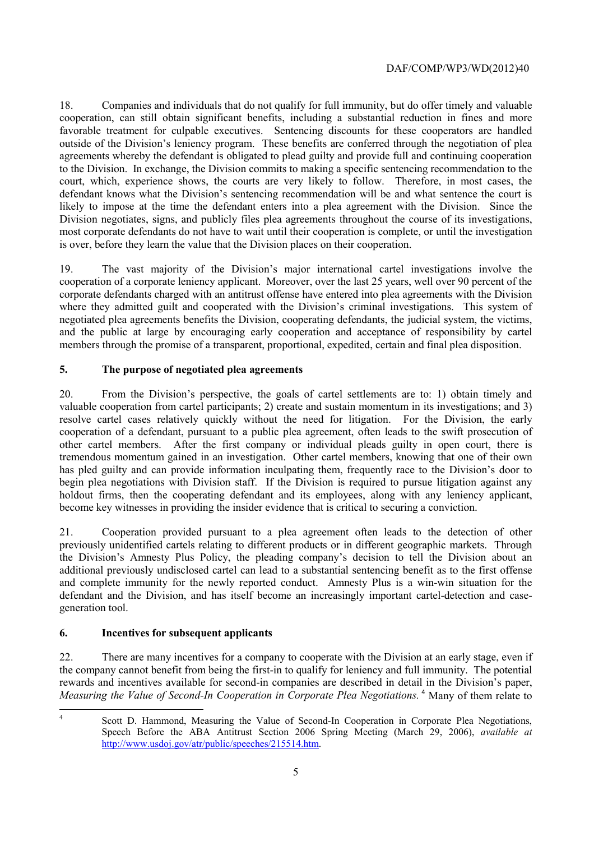court, which, experience shows, the courts are very likely to follow. Therefore, in most cases, the most corporate defendants do not have to wait until their cooperation is complete, or until the investigation 18. Companies and individuals that do not qualify for full immunity, but do offer timely and valuable cooperation, can still obtain significant benefits, including a substantial reduction in fines and more favorable treatment for culpable executives. Sentencing discounts for these cooperators are handled outside of the Division's leniency program. These benefits are conferred through the negotiation of plea agreements whereby the defendant is obligated to plead guilty and provide full and continuing cooperation to the Division. In exchange, the Division commits to making a specific sentencing recommendation to the defendant knows what the Division's sentencing recommendation will be and what sentence the court is likely to impose at the time the defendant enters into a plea agreement with the Division. Since the Division negotiates, signs, and publicly files plea agreements throughout the course of its investigations, is over, before they learn the value that the Division places on their cooperation.

19. The vast majority of the Division's major international cartel investigations involve the cooperation of a corporate leniency applicant. Moreover, over the last 25 years, well over 90 percent of the corporate defendants charged with an antitrust offense have entered into plea agreements with the Division where they admitted guilt and cooperated with the Division's criminal investigations. This system of negotiated plea agreements benefits the Division, cooperating defendants, the judicial system, the victims, and the public at large by encouraging early cooperation and acceptance of responsibility by cartel members through the promise of a transparent, proportional, expedited, certain and final plea disposition.

# **5. The purpose of negotiated plea agreements**

become key witnesses in providing the insider evidence that is critical to securing a conviction. 20. From the Division's perspective, the goals of cartel settlements are to: 1) obtain timely and valuable cooperation from cartel participants; 2) create and sustain momentum in its investigations; and 3) resolve cartel cases relatively quickly without the need for litigation. For the Division, the early cooperation of a defendant, pursuant to a public plea agreement, often leads to the swift prosecution of other cartel members. After the first company or individual pleads guilty in open court, there is tremendous momentum gained in an investigation. Other cartel members, knowing that one of their own has pled guilty and can provide information inculpating them, frequently race to the Division's door to begin plea negotiations with Division staff. If the Division is required to pursue litigation against any holdout firms, then the cooperating defendant and its employees, along with any leniency applicant,

21. Cooperation provided pursuant to a plea agreement often leads to the detection of other previously unidentified cartels relating to different products or in different geographic markets. Through the Division's Amnesty Plus Policy, the pleading company's decision to tell the Division about an additional previously undisclosed cartel can lead to a substantial sentencing benefit as to the first offense and complete immunity for the newly reported conduct. Amnesty Plus is a win-win situation for the defendant and the Division, and has itself become an increasingly important cartel-detection and casegeneration tool.

# **6. Incentives for subsequent applicants**

22. There are many incentives for a company to cooperate with the Division at an early stage, even if the company cannot benefit from being the first-in to qualify for leniency and full immunity. The potential rewards and incentives available for second-in companies are described in detail in the Division's paper, Measuring the Value of Second-In Cooperation in Corporate Plea Negotiations.<sup>4</sup> Many of them relate to

 4

Scott D. Hammond, Measuring the Value of Second-In Cooperation in Corporate Plea Negotiations, Speech Before the ABA Antitrust Section 2006 Spring Meeting (March 29, 2006), *available at*  http://www.usdoj.gov/atr/public/speeches/215514.htm.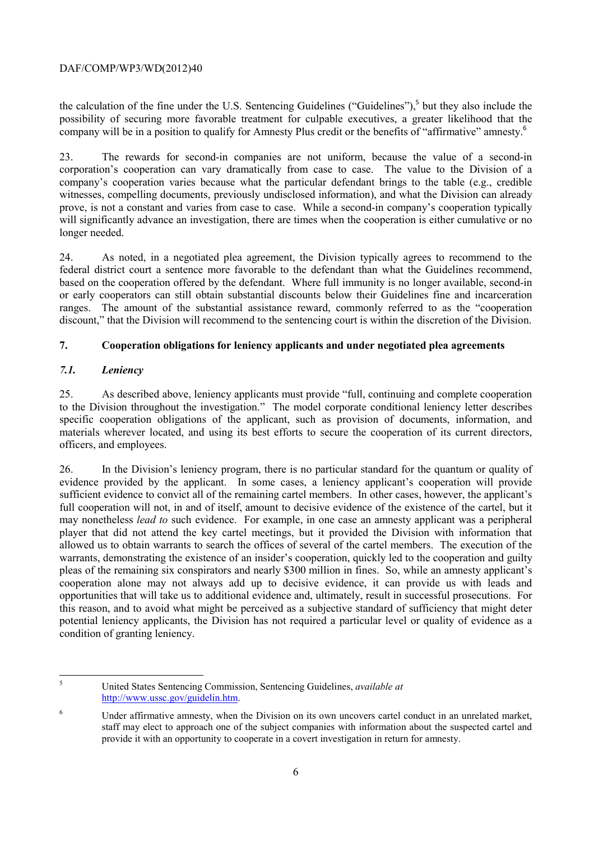the calculation of the fine under the U.S. Sentencing Guidelines ("Guidelines"),<sup>5</sup> but they also include the possibility of securing more favorable treatment for culpable executives, a greater likelihood that the company will be in a position to qualify for Amnesty Plus credit or the benefits of "affirmative" amnesty.<sup>6</sup>

23. The rewards for second-in companies are not uniform, because the value of a second-in corporation's cooperation can vary dramatically from case to case. The value to the Division of a company's cooperation varies because what the particular defendant brings to the table (e.g., credible witnesses, compelling documents, previously undisclosed information), and what the Division can already prove, is not a constant and varies from case to case. While a second-in company's cooperation typically will significantly advance an investigation, there are times when the cooperation is either cumulative or no longer needed.

24. As noted, in a negotiated plea agreement, the Division typically agrees to recommend to the federal district court a sentence more favorable to the defendant than what the Guidelines recommend, based on the cooperation offered by the defendant. Where full immunity is no longer available, second-in or early cooperators can still obtain substantial discounts below their Guidelines fine and incarceration ranges. The amount of the substantial assistance reward, commonly referred to as the "cooperation discount," that the Division will recommend to the sentencing court is within the discretion of the Division.

# **7. Cooperation obligations for leniency applicants and under negotiated plea agreements**

# *7.1. Leniency*

 25. As described above, leniency applicants must provide "full, continuing and complete cooperation to the Division throughout the investigation." The model corporate conditional leniency letter describes specific cooperation obligations of the applicant, such as provision of documents, information, and materials wherever located, and using its best efforts to secure the cooperation of its current directors, officers, and employees.

 opportunities that will take us to additional evidence and, ultimately, result in successful prosecutions. For 26. In the Division's leniency program, there is no particular standard for the quantum or quality of evidence provided by the applicant. In some cases, a leniency applicant's cooperation will provide sufficient evidence to convict all of the remaining cartel members. In other cases, however, the applicant's full cooperation will not, in and of itself, amount to decisive evidence of the existence of the cartel, but it may nonetheless *lead to* such evidence. For example, in one case an amnesty applicant was a peripheral player that did not attend the key cartel meetings, but it provided the Division with information that allowed us to obtain warrants to search the offices of several of the cartel members. The execution of the warrants, demonstrating the existence of an insider's cooperation, quickly led to the cooperation and guilty pleas of the remaining six conspirators and nearly \$300 million in fines. So, while an amnesty applicant's cooperation alone may not always add up to decisive evidence, it can provide us with leads and this reason, and to avoid what might be perceived as a subjective standard of sufficiency that might deter potential leniency applicants, the Division has not required a particular level or quality of evidence as a condition of granting leniency.

 5 United States Sentencing Commission, Sentencing Guidelines, *available at*  http://www.ussc.gov/guidelin.htm.

<sup>&</sup>lt;sup>6</sup> Under affirmative amnesty, when the Division on its own uncovers cartel conduct in an unrelated market, staff may elect to approach one of the subject companies with information about the suspected cartel and provide it with an opportunity to cooperate in a covert investigation in return for amnesty.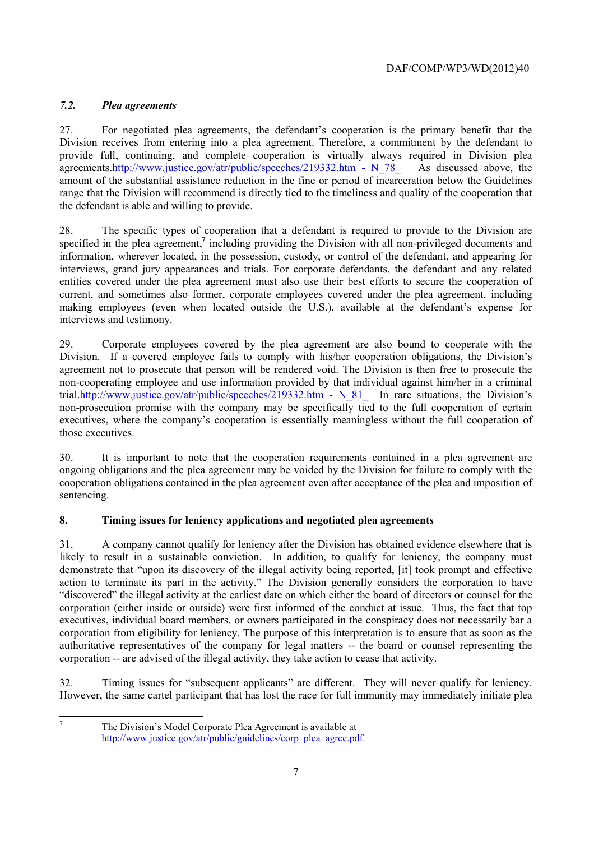# *7.2. Plea agreements*

27. For negotiated plea agreements, the defendant's cooperation is the primary benefit that the Division receives from entering into a plea agreement. Therefore, a commitment by the defendant to provide full, continuing, and complete cooperation is virtually always required in Division plea agreements.http://www.justice.gov/atr/public/speeches/219332.htm - N\_78\_ As discussed above, the amount of the substantial assistance reduction in the fine or period of incarceration below the Guidelines range that the Division will recommend is directly tied to the timeliness and quality of the cooperation that the defendant is able and willing to provide.

28. The specific types of cooperation that a defendant is required to provide to the Division are specified in the plea agreement, $\frac{7}{7}$  including providing the Division with all non-privileged documents and information, wherever located, in the possession, custody, or control of the defendant, and appearing for interviews, grand jury appearances and trials. For corporate defendants, the defendant and any related entities covered under the plea agreement must also use their best efforts to secure the cooperation of current, and sometimes also former, corporate employees covered under the plea agreement, including making employees (even when located outside the U.S.), available at the defendant's expense for interviews and testimony.

trial.http://www.justice.gov/atr/public/speeches/219332.htm - N\_81\_ In rare situations, the Division's 29. Corporate employees covered by the plea agreement are also bound to cooperate with the Division. If a covered employee fails to comply with his/her cooperation obligations, the Division's agreement not to prosecute that person will be rendered void. The Division is then free to prosecute the non-cooperating employee and use information provided by that individual against him/her in a criminal non-prosecution promise with the company may be specifically tied to the full cooperation of certain executives, where the company's cooperation is essentially meaningless without the full cooperation of those executives.

30. It is important to note that the cooperation requirements contained in a plea agreement are ongoing obligations and the plea agreement may be voided by the Division for failure to comply with the cooperation obligations contained in the plea agreement even after acceptance of the plea and imposition of sentencing.

# **8. Timing issues for leniency applications and negotiated plea agreements**

 likely to result in a sustainable conviction. In addition, to qualify for leniency, the company must corporation (either inside or outside) were first informed of the conduct at issue. Thus, the fact that top 31. A company cannot qualify for leniency after the Division has obtained evidence elsewhere that is demonstrate that "upon its discovery of the illegal activity being reported, [it] took prompt and effective action to terminate its part in the activity." The Division generally considers the corporation to have "discovered" the illegal activity at the earliest date on which either the board of directors or counsel for the executives, individual board members, or owners participated in the conspiracy does not necessarily bar a corporation from eligibility for leniency. The purpose of this interpretation is to ensure that as soon as the authoritative representatives of the company for legal matters -- the board or counsel representing the corporation -- are advised of the illegal activity, they take action to cease that activity.

 However, the same cartel participant that has lost the race for full immunity may immediately initiate plea 32. Timing issues for "subsequent applicants" are different. They will never qualify for leniency.

 7

The Division's Model Corporate Plea Agreement is available at http://www.justice.gov/atr/public/guidelines/corp\_plea\_agree.pdf.